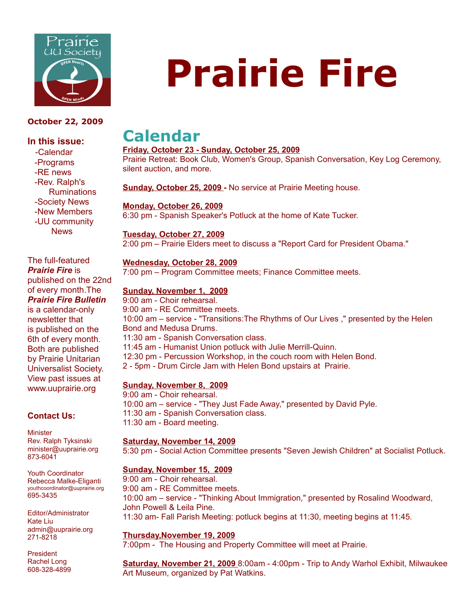

#### **October 22, 2009**

#### **In this issue:**

 -Calendar -Programs -RE news -Rev. Ralph's Ruminations -Society News -New Members -UU community News

The full-featured *Prairie Fire* is published on the 22nd of every month.The *Prairie Fire Bulletin* is a calendar-only newsletter that is published on the 6th of every month. Both are published by Prairie Unitarian Universalist Society. View past issues at www.uuprairie.org

#### **Contact Us:**

**Minister** Rev. Ralph Tyksinski minister@uuprairie.org 873-6041

Youth Coordinator Rebecca Malke-Eliganti youthcoordinator@uuprairie.org 695-3435

Editor/Administrator Kate Liu admin@uuprairie.org 271-8218

President Rachel Long 608-328-4899

# **Prairie Fire**

## **Calendar**

#### **Friday, October 23 - Sunday, October 25, 2009**

Prairie Retreat: Book Club, Women's Group, Spanish Conversation, Key Log Ceremony, silent auction, and more.

**Sunday, October 25, 2009 -** No service at Prairie Meeting house.

#### **Monday, October 26, 2009**

6:30 pm - Spanish Speaker's Potluck at the home of Kate Tucker.

#### **Tuesday, October 27, 2009**

2:00 pm – Prairie Elders meet to discuss a "Report Card for President Obama."

#### **Wednesday, October 28, 2009**

7:00 pm – Program Committee meets; Finance Committee meets.

#### **Sunday, November 1, 2009**

9:00 am - Choir rehearsal. 9:00 am - RE Committee meets. 10:00 am – service - "Transitions:The Rhythms of Our Lives ," presented by the Helen Bond and Medusa Drums. 11:30 am - Spanish Conversation class. 11:45 am - Humanist Union potluck with Julie Merrill-Quinn. 12:30 pm - Percussion Workshop, in the couch room with Helen Bond. 2 - 5pm - Drum Circle Jam with Helen Bond upstairs at Prairie. **Sunday, November 8, 2009**

9:00 am - Choir rehearsal. 10:00 am – service - "They Just Fade Away," presented by David Pyle. 11:30 am - Spanish Conversation class. 11:30 am - Board meeting.

#### **Saturday, November 14, 2009**

5:30 pm - Social Action Committee presents "Seven Jewish Children" at Socialist Potluck.

#### **Sunday, November 15, 2009**

9:00 am - Choir rehearsal. 9:00 am - RE Committee meets. 10:00 am – service - "Thinking About Immigration," presented by Rosalind Woodward, John Powell & Leila Pine. 11:30 am- Fall Parish Meeting: potluck begins at 11:30, meeting begins at 11:45.

#### **Thursday,November 19, 2009**

7:00pm - The Housing and Property Committee will meet at Prairie.

**Saturday, November 21, 2009** 8:00am - 4:00pm - Trip to Andy Warhol Exhibit, Milwaukee Art Museum, organized by Pat Watkins.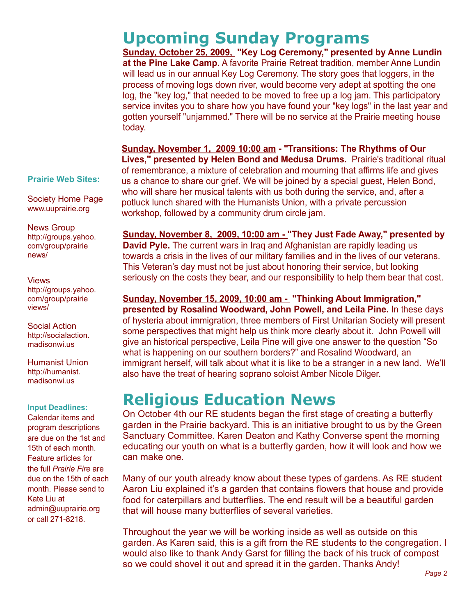**Upcoming Sunday Programs Sunday, October 25, 2009, "Key Log Ceremony," presented by Anne Lundin at the Pine Lake Camp.** A favorite Prairie Retreat tradition, member Anne Lundin will lead us in our annual Key Log Ceremony. The story goes that loggers, in the process of moving logs down river, would become very adept at spotting the one log, the "key log," that needed to be moved to free up a log jam. This participatory service invites you to share how you have found your "key logs" in the last year and gotten yourself "unjammed." There will be no service at the Prairie meeting house today.

**Sunday, November 1, 2009 10:00 am - "Transitions: The Rhythms of Our Lives," presented by Helen Bond and Medusa Drums.** Prairie's traditional ritual of remembrance, a mixture of celebration and mourning that affirms life and gives us a chance to share our grief. We will be joined by a special guest, Helen Bond, who will share her musical talents with us both during the service, and, after a potluck lunch shared with the Humanists Union, with a private percussion workshop, followed by a community drum circle jam.

**Sunday, November 8, 2009, 10:00 am - "They Just Fade Away," presented by David Pyle.** The current wars in Iraq and Afghanistan are rapidly leading us towards a crisis in the lives of our military families and in the lives of our veterans. This Veteran's day must not be just about honoring their service, but looking seriously on the costs they bear, and our responsibility to help them bear that cost.

**Sunday, November 15, 2009, 10:00 am - "Thinking About Immigration," presented by Rosalind Woodward, John Powell, and Leila Pine.** In these days of hysteria about immigration, three members of First Unitarian Society will present some perspectives that might help us think more clearly about it. John Powell will give an historical perspective, Leila Pine will give one answer to the question "So what is happening on our southern borders?" and Rosalind Woodward, an immigrant herself, will talk about what it is like to be a stranger in a new land. We'll also have the treat of hearing soprano soloist Amber Nicole Dilger.

## **Religious Education News**

On October 4th our RE students began the first stage of creating a butterfly garden in the Prairie backyard. This is an initiative brought to us by the Green Sanctuary Committee. Karen Deaton and Kathy Converse spent the morning educating our youth on what is a butterfly garden, how it will look and how we can make one.

Many of our youth already know about these types of gardens. As RE student Aaron Liu explained it's a garden that contains flowers that house and provide food for caterpillars and butterflies. The end result will be a beautiful garden that will house many butterflies of several varieties.

Throughout the year we will be working inside as well as outside on this garden. As Karen said, this is a gift from the RE students to the congregation. I would also like to thank Andy Garst for filling the back of his truck of compost so we could shovel it out and spread it in the garden. Thanks Andy!

**Prairie Web Sites:**

Society Home Page www.uuprairie.org

News Group http://groups.yahoo. com/group/prairie news/

#### Views

http://groups.yahoo. com/group/prairie views/

Social Action http://socialaction. madisonwi.us

Humanist Union http://humanist. madisonwi.us

#### **Input Deadlines:**

Calendar items and program descriptions are due on the 1st and 15th of each month. Feature articles for the full *Prairie Fire* are due on the 15th of each month. Please send to Kate Liu at admin@uuprairie.org or call 271-8218.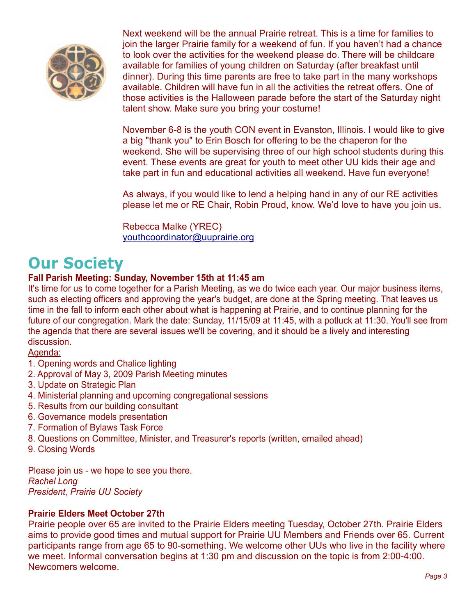

Next weekend will be the annual Prairie retreat. This is a time for families to join the larger Prairie family for a weekend of fun. If you haven't had a chance to look over the activities for the weekend please do. There will be childcare available for families of young children on Saturday (after breakfast until dinner). During this time parents are free to take part in the many workshops available. Children will have fun in all the activities the retreat offers. One of those activities is the Halloween parade before the start of the Saturday night talent show. Make sure you bring your costume!

November 6-8 is the youth CON event in Evanston, Illinois. I would like to give a big "thank you" to Erin Bosch for offering to be the chaperon for the weekend. She will be supervising three of our high school students during this event. These events are great for youth to meet other UU kids their age and take part in fun and educational activities all weekend. Have fun everyone!

As always, if you would like to lend a helping hand in any of our RE activities please let me or RE Chair, Robin Proud, know. We'd love to have you join us.

Rebecca Malke (YREC) [youthcoordinator@uuprairie.org](mailto:youthcoordinator@uuprairie.org)

## **Our Society**

#### **Fall Parish Meeting: Sunday, November 15th at 11:45 am**

It's time for us to come together for a Parish Meeting, as we do twice each year. Our major business items, such as electing officers and approving the year's budget, are done at the Spring meeting. That leaves us time in the fall to inform each other about what is happening at Prairie, and to continue planning for the future of our congregation. Mark the date: Sunday, 11/15/09 at 11:45, with a potluck at 11:30. You'll see from the agenda that there are several issues we'll be covering, and it should be a lively and interesting discussion.

Agenda:

- 1. Opening words and Chalice lighting
- 2. Approval of May 3, 2009 Parish Meeting minutes
- 3. Update on Strategic Plan
- 4. Ministerial planning and upcoming congregational sessions
- 5. Results from our building consultant
- 6. Governance models presentation
- 7. Formation of Bylaws Task Force
- 8. Questions on Committee, Minister, and Treasurer's reports (written, emailed ahead)
- 9. Closing Words

Please join us - we hope to see you there. *Rachel Long President, Prairie UU Society*

#### **Prairie Elders Meet October 27th**

Prairie people over 65 are invited to the Prairie Elders meeting Tuesday, October 27th. Prairie Elders aims to provide good times and mutual support for Prairie UU Members and Friends over 65. Current participants range from age 65 to 90-something. We welcome other UUs who live in the facility where we meet. Informal conversation begins at 1:30 pm and discussion on the topic is from 2:00-4:00. Newcomers welcome.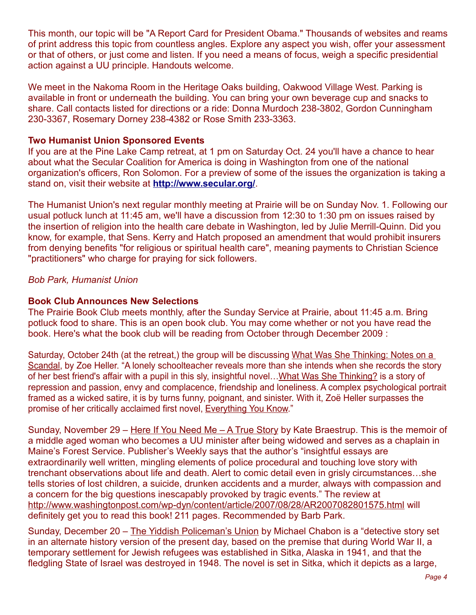This month, our topic will be "A Report Card for President Obama." Thousands of websites and reams of print address this topic from countless angles. Explore any aspect you wish, offer your assessment or that of others, or just come and listen. If you need a means of focus, weigh a specific presidential action against a UU principle. Handouts welcome.

We meet in the Nakoma Room in the Heritage Oaks building, Oakwood Village West. Parking is available in front or underneath the building. You can bring your own beverage cup and snacks to share. Call contacts listed for directions or a ride: Donna Murdoch 238-3802, Gordon Cunningham 230-3367, Rosemary Dorney 238-4382 or Rose Smith 233-3363.

#### **Two Humanist Union Sponsored Events**

If you are at the Pine Lake Camp retreat, at 1 pm on Saturday Oct. 24 you'll have a chance to hear about what the Secular Coalition for America is doing in Washington from one of the national organization's officers, Ron Solomon. For a preview of some of the issues the organization is taking a stand on, visit their website at **<http://www.secular.org/>**.

The Humanist Union's next regular monthly meeting at Prairie will be on Sunday Nov. 1. Following our usual potluck lunch at 11:45 am, we'll have a discussion from 12:30 to 1:30 pm on issues raised by the insertion of religion into the health care debate in Washington, led by Julie Merrill-Quinn. Did you know, for example, that Sens. Kerry and Hatch proposed an amendment that would prohibit insurers from denying benefits "for religious or spiritual health care", meaning payments to Christian Science "practitioners" who charge for praying for sick followers.

#### *Bob Park, Humanist Union*

#### **Book Club Announces New Selections**

The Prairie Book Club meets monthly, after the Sunday Service at Prairie, about 11:45 a.m. Bring potluck food to share. This is an open book club. You may come whether or not you have read the book. Here's what the book club will be reading from October through December 2009 :

Saturday, October 24th (at the retreat,) the group will be discussing What Was She Thinking: Notes on a Scandal, by Zoe Heller. "A lonely schoolteacher reveals more than she intends when she records the story of her best friend's affair with a pupil in this sly, insightful novel…What Was She Thinking? is a story of repression and passion, envy and complacence, friendship and loneliness. A complex psychological portrait framed as a wicked satire, it is by turns funny, poignant, and sinister. With it, Zoë Heller surpasses the promise of her critically acclaimed first novel, **Everything You Know.**"

Sunday, November 29 – Here If You Need Me – A True Story by Kate Braestrup. This is the memoir of a middle aged woman who becomes a UU minister after being widowed and serves as a chaplain in Maine's Forest Service. Publisher's Weekly says that the author's "insightful essays are extraordinarily well written, mingling elements of police procedural and touching love story with trenchant observations about life and death. Alert to comic detail even in grisly circumstances…she tells stories of lost children, a suicide, drunken accidents and a murder, always with compassion and a concern for the big questions inescapably provoked by tragic events." The review at <http://www.washingtonpost.com/wp-dyn/content/article/2007/08/28/AR2007082801575.html>will definitely get you to read this book! 211 pages. Recommended by Barb Park.

Sunday, December 20 – The Yiddish Policeman's Union by Michael Chabon is a ["detective story](http://en.wikipedia.org/wiki/Detective_story) set in an [alternate history](http://en.wikipedia.org/wiki/Alternate_history) version of the present day, based on the premise that during [World War II,](http://en.wikipedia.org/wiki/World_War_II) a temporary [settlement](http://en.wikipedia.org/wiki/Human_settlement) for [Jewish](http://en.wikipedia.org/wiki/Jew) [refugees](http://en.wikipedia.org/wiki/Refugees) was established in [Sitka,](http://en.wikipedia.org/wiki/Sitka,_Alaska) [Alaska](http://en.wikipedia.org/wiki/Alaska) in 1941, and that the fledgling State of [Israel](http://en.wikipedia.org/wiki/Israel) was destroyed in 1948. The novel is set in Sitka, which it depicts as a large,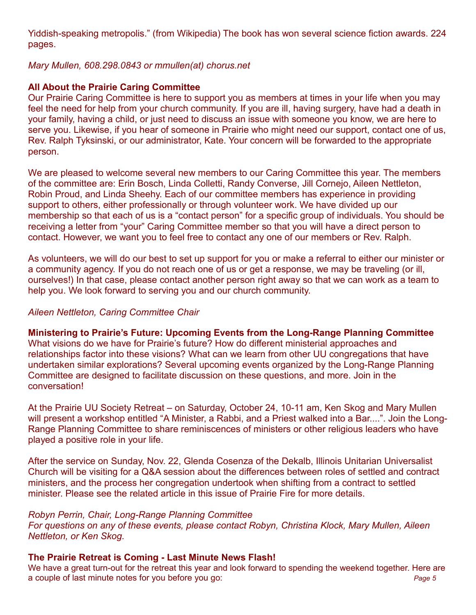[Yiddish-](http://en.wikipedia.org/wiki/Yiddish_language)speaking [metropolis.](http://en.wikipedia.org/wiki/Metropolis)" (from Wikipedia) The book has won several science fiction awards. 224 pages.

#### *Mary Mullen, 608.298.0843 or mmullen(at) chorus.net*

#### **All About the Prairie Caring Committee**

Our Prairie Caring Committee is here to support you as members at times in your life when you may feel the need for help from your church community. If you are ill, having surgery, have had a death in your family, having a child, or just need to discuss an issue with someone you know, we are here to serve you. Likewise, if you hear of someone in Prairie who might need our support, contact one of us, Rev. Ralph Tyksinski, or our administrator, Kate. Your concern will be forwarded to the appropriate person.

We are pleased to welcome several new members to our Caring Committee this year. The members of the committee are: Erin Bosch, Linda Colletti, Randy Converse, Jill Cornejo, Aileen Nettleton, Robin Proud, and Linda Sheehy. Each of our committee members has experience in providing support to others, either professionally or through volunteer work. We have divided up our membership so that each of us is a "contact person" for a specific group of individuals. You should be receiving a letter from "your" Caring Committee member so that you will have a direct person to contact. However, we want you to feel free to contact any one of our members or Rev. Ralph.

As volunteers, we will do our best to set up support for you or make a referral to either our minister or a community agency. If you do not reach one of us or get a response, we may be traveling (or ill, ourselves!) In that case, please contact another person right away so that we can work as a team to help you. We look forward to serving you and our church community.

#### *Aileen Nettleton, Caring Committee Chair*

**Ministering to Prairie's Future: Upcoming Events from the Long-Range Planning Committee** What visions do we have for Prairie's future? How do different ministerial approaches and relationships factor into these visions? What can we learn from other UU congregations that have undertaken similar explorations? Several upcoming events organized by the Long-Range Planning Committee are designed to facilitate discussion on these questions, and more. Join in the conversation!

At the Prairie UU Society Retreat – on Saturday, October 24, 10-11 am, Ken Skog and Mary Mullen will present a workshop entitled "A Minister, a Rabbi, and a Priest walked into a Bar....". Join the Long-Range Planning Committee to share reminiscences of ministers or other religious leaders who have played a positive role in your life.

After the service on Sunday, Nov. 22, Glenda Cosenza of the Dekalb, Illinois Unitarian Universalist Church will be visiting for a Q&A session about the differences between roles of settled and contract ministers, and the process her congregation undertook when shifting from a contract to settled minister. Please see the related article in this issue of Prairie Fire for more details.

#### *Robyn Perrin, Chair, Long-Range Planning Committee*

*For questions on any of these events, please contact Robyn, Christina Klock, Mary Mullen, Aileen Nettleton, or Ken Skog.* 

#### **The Prairie Retreat is Coming - Last Minute News Flash!**

We have a great turn-out for the retreat this year and look forward to spending the weekend together. Here are a couple of last minute notes for you before you go: *Page 5*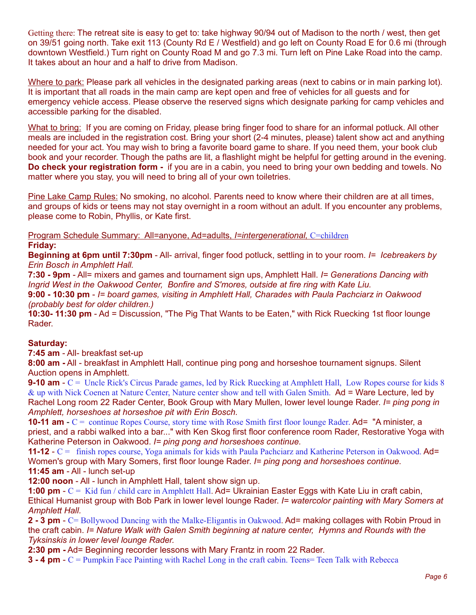Getting there: The retreat site is easy to get to: take highway 90/94 out of Madison to the north / west, then get on 39/51 going north. Take exit 113 (County Rd E / Westfield) and go left on County Road E for 0.6 mi (through downtown Westfield.) Turn right on County Road M and go 7.3 mi. Turn left on Pine Lake Road into the camp. It takes about an hour and a half to drive from Madison.

Where to park: Please park all vehicles in the designated parking areas (next to cabins or in main parking lot). It is important that all roads in the main camp are kept open and free of vehicles for all guests and for emergency vehicle access. Please observe the reserved signs which designate parking for camp vehicles and accessible parking for the disabled.

What to bring: If you are coming on Friday, please bring finger food to share for an informal potluck. All other meals are included in the registration cost. Bring your short (2-4 minutes, please) talent show act and anything needed for your act. You may wish to bring a favorite board game to share. If you need them, your book club book and your recorder. Though the paths are lit, a flashlight might be helpful for getting around in the evening. **Do check your registration form -** if you are in a cabin, you need to bring your own bedding and towels. No matter where you stay, you will need to bring all of your own toiletries.

Pine Lake Camp Rules: No smoking, no alcohol. Parents need to know where their children are at all times, and groups of kids or teens may not stay overnight in a room without an adult. If you encounter any problems, please come to Robin, Phyllis, or Kate first.

 Program Schedule Summary: All=anyone, Ad=adults, *I=intergenerational,* C=children **Friday:** 

**Beginning at 6pm until 7:30pm** - All- arrival, finger food potluck, settling in to your room. *I= Icebreakers by Erin Bosch in Amphlett Hall.*

**7:30 - 9pm** - All= mixers and games and tournament sign ups, Amphlett Hall. *I= Generations Dancing with Ingrid West in the Oakwood Center, Bonfire and S'mores, outside at fire ring with Kate Liu.* 

**9:00 - 10:30 pm** - *I= board games, visiting in Amphlett Hall, Charades with Paula Pachciarz in Oakwood (probably best for older children.)*

**10:30- 11:30 pm** - Ad = Discussion, "The Pig That Wants to be Eaten," with Rick Ruecking 1st floor lounge Rader.

#### **Saturday:**

**7:45 am** - All- breakfast set-up

**8:00 am -** All - breakfast in Amphlett Hall, continue ping pong and horseshoe tournament signups. Silent Auction opens in Amphlett.

**9-10 am** - C = Uncle Rick's Circus Parade games, led by Rick Ruecking at Amphlett Hall, Low Ropes course for kids 8 & up with Nick Coenen at Nature Center, Nature center show and tell with Galen Smith. Ad = Ware Lecture, led by Rachel Long room 22 Rader Center, Book Group with Mary Mullen, lower level lounge Rader. *I= ping pong in Amphlett, horseshoes at horseshoe pit with Erin Bosch.*

**10-11 am** - C = continue Ropes Course, story time with Rose Smith first floor lounge Rader. Ad= "A minister, a priest, and a rabbi walked into a bar..." with Ken Skog first floor conference room Rader, Restorative Yoga with Katherine Peterson in Oakwood. *I= ping pong and horseshoes continue.*

**11-12** - C = finish ropes course, Yoga animals for kids with Paula Pachciarz and Katherine Peterson in Oakwood. Ad= Women's group with Mary Somers, first floor lounge Rader. *I= ping pong and horseshoes continue.* **11:45 am** - All - lunch set-up

**12:00 noon** - All - lunch in Amphlett Hall, talent show sign up.

**1:00 pm** - C = Kid fun / child care in Amphlett Hall. Ad= Ukrainian Easter Eggs with Kate Liu in craft cabin, Ethical Humanist group with Bob Park in lower level lounge Rader. *I= watercolor painting with Mary Somers at Amphlett Hall.* 

**2 - 3 pm** - C= Bollywood Dancing with the Malke-Eligantis in Oakwood. Ad= making collages with Robin Proud in the craft cabin. *I= Nature Walk with Galen Smith beginning at nature center, Hymns and Rounds with the Tyksinskis in lower level lounge Rader.* 

**2:30 pm -** Ad= Beginning recorder lessons with Mary Frantz in room 22 Rader.

**3 - 4 pm** - C = Pumpkin Face Painting with Rachel Long in the craft cabin. Teens Teen Talk with Rebecca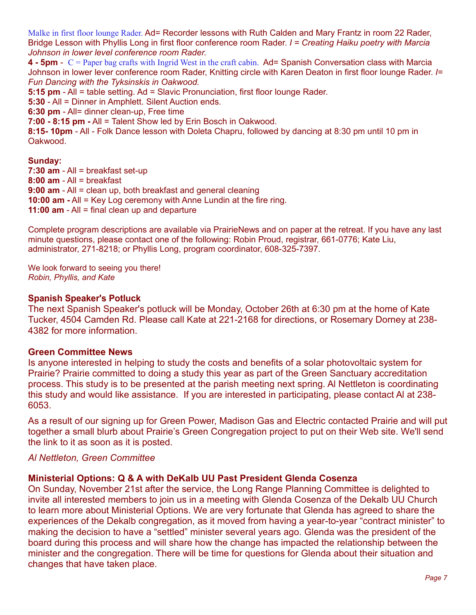Malke in first floor lounge Rader. Ad= Recorder lessons with Ruth Calden and Mary Frantz in room 22 Rader, Bridge Lesson with Phyllis Long in first floor conference room Rader. *I = Creating Haiku poetry with Marcia Johnson in lower level conference room Rader.* 

**4 - 5pm** - C = Paper bag crafts with Ingrid West in the craft cabin. Ad= Spanish Conversation class with Marcia Johnson in lower lever conference room Rader, Knitting circle with Karen Deaton in first floor lounge Rader. *I= Fun Dancing with the Tyksinskis in Oakwood.* 

**5:15 pm** - All = table setting. Ad = Slavic Pronunciation, first floor lounge Rader.

**5:30** - All = Dinner in Amphlett. Silent Auction ends.

**6:30 pm** - All= dinner clean-up, Free time

**7:00 - 8:15 pm -** All = Talent Show led by Erin Bosch in Oakwood.

**8:15- 10pm** - All - Folk Dance lesson with Doleta Chapru, followed by dancing at 8:30 pm until 10 pm in Oakwood.

#### **Sunday:**

**7:30 am** - All = breakfast set-up **8:00 am** - All = breakfast **9:00 am** - All = clean up, both breakfast and general cleaning **10:00 am -** All = Key Log ceremony with Anne Lundin at the fire ring. **11:00 am** - All = final clean up and departure

Complete program descriptions are available via PrairieNews and on paper at the retreat. If you have any last minute questions, please contact one of the following: Robin Proud, registrar, 661-0776; Kate Liu, administrator, 271-8218; or Phyllis Long, program coordinator, 608-325-7397.

We look forward to seeing you there! *Robin, Phyllis, and Kate*

#### **Spanish Speaker's Potluck**

The next Spanish Speaker's potluck will be Monday, October 26th at 6:30 pm at the home of Kate Tucker, 4504 Camden Rd. Please call Kate at 221-2168 for directions, or Rosemary Dorney at 238- 4382 for more information.

#### **Green Committee News**

Is anyone interested in helping to study the costs and benefits of a solar photovoltaic system for Prairie? Prairie committed to doing a study this year as part of the Green Sanctuary accreditation process. This study is to be presented at the parish meeting next spring. Al Nettleton is coordinating this study and would like assistance. If you are interested in participating, please contact Al at 238- 6053.

As a result of our signing up for Green Power, Madison Gas and Electric contacted Prairie and will put together a small blurb about Prairie's Green Congregation project to put on their Web site. We'll send the link to it as soon as it is posted.

#### *Al Nettleton, Green Committee*

#### **Ministerial Options: Q & A with DeKalb UU Past President Glenda Cosenza**

On Sunday, November 21st after the service, the Long Range Planning Committee is delighted to invite all interested members to join us in a meeting with Glenda Cosenza of the Dekalb UU Church to learn more about Ministerial Options. We are very fortunate that Glenda has agreed to share the experiences of the Dekalb congregation, as it moved from having a year-to-year "contract minister" to making the decision to have a "settled" minister several years ago. Glenda was the president of the board during this process and will share how the change has impacted the relationship between the minister and the congregation. There will be time for questions for Glenda about their situation and changes that have taken place.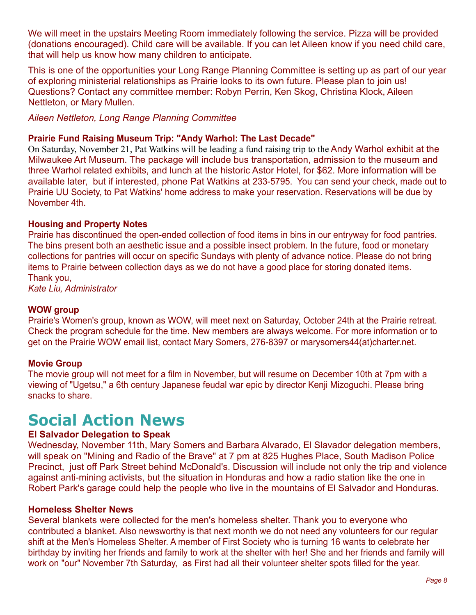We will meet in the upstairs Meeting Room immediately following the service. Pizza will be provided (donations encouraged). Child care will be available. If you can let Aileen know if you need child care, that will help us know how many children to anticipate.

This is one of the opportunities your Long Range Planning Committee is setting up as part of our year of exploring ministerial relationships as Prairie looks to its own future. Please plan to join us! Questions? Contact any committee member: Robyn Perrin, Ken Skog, Christina Klock, Aileen Nettleton, or Mary Mullen.

*Aileen Nettleton, Long Range Planning Committee*

#### **Prairie Fund Raising Museum Trip: "Andy Warhol: The Last Decade"**

On Saturday, November 21, Pat Watkins will be leading a fund raising trip to the Andy Warhol exhibit at the Milwaukee Art Museum. The package will include bus transportation, admission to the museum and three Warhol related exhibits, and lunch at the historic Astor Hotel, for \$62. More information will be available later, but if interested, phone Pat Watkins at 233-5795. You can send your check, made out to Prairie UU Society, to Pat Watkins' home address to make your reservation. Reservations will be due by November 4th.

#### **Housing and Property Notes**

Prairie has discontinued the open-ended collection of food items in bins in our entryway for food pantries. The bins present both an aesthetic issue and a possible insect problem. In the future, food or monetary collections for pantries will occur on specific Sundays with plenty of advance notice. Please do not bring items to Prairie between collection days as we do not have a good place for storing donated items. Thank you,

*Kate Liu, Administrator*

#### **WOW group**

Prairie's Women's group, known as WOW, will meet next on Saturday, October 24th at the Prairie retreat. Check the program schedule for the time. New members are always welcome. For more information or to get on the Prairie WOW email list, contact Mary Somers, 276-8397 or marysomers44(at)charter.net.

#### **Movie Group**

The movie group will not meet for a film in November, but will resume on December 10th at 7pm with a viewing of "Ugetsu," a 6th century Japanese feudal war epic by director Kenji Mizoguchi. Please bring snacks to share.

## **Social Action News**

#### **El Salvador Delegation to Speak**

Wednesday, November 11th, Mary Somers and Barbara Alvarado, El Slavador delegation members, will speak on "Mining and Radio of the Brave" at 7 pm at 825 Hughes Place, South Madison Police Precinct, just off Park Street behind McDonald's. Discussion will include not only the trip and violence against anti-mining activists, but the situation in Honduras and how a radio station like the one in Robert Park's garage could help the people who live in the mountains of El Salvador and Honduras.

#### **Homeless Shelter News**

Several blankets were collected for the men's homeless shelter. Thank you to everyone who contributed a blanket. Also newsworthy is that next month we do not need any volunteers for our regular shift at the Men's Homeless Shelter. A member of First Society who is turning 16 wants to celebrate her birthday by inviting her friends and family to work at the shelter with her! She and her friends and family will work on "our" November 7th Saturday, as First had all their volunteer shelter spots filled for the year.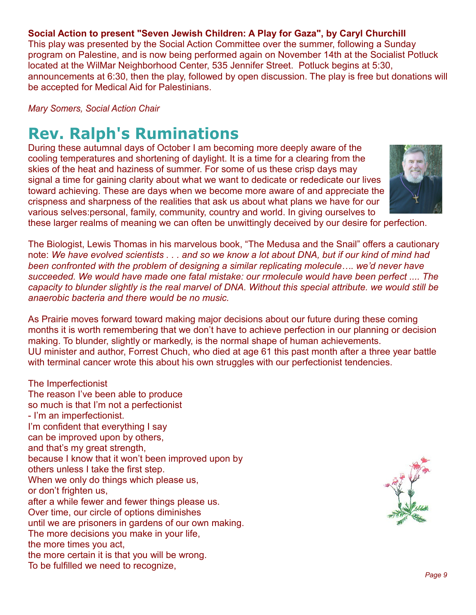#### **Social Action to present "Seven Jewish Children: A Play for Gaza", by Caryl Churchill**

This play was presented by the Social Action Committee over the summer, following a Sunday program on Palestine, and is now being performed again on November 14th at the Socialist Potluck located at the WilMar Neighborhood Center, 535 Jennifer Street. Potluck begins at 5:30, announcements at 6:30, then the play, followed by open discussion. The play is free but donations will be accepted for Medical Aid for Palestinians.

*Mary Somers, Social Action Chair*

## **Rev. Ralph's Ruminations**

During these autumnal days of October I am becoming more deeply aware of the cooling temperatures and shortening of daylight. It is a time for a clearing from the skies of the heat and haziness of summer. For some of us these crisp days may signal a time for gaining clarity about what we want to dedicate or rededicate our lives toward achieving. These are days when we become more aware of and appreciate the crispness and sharpness of the realities that ask us about what plans we have for our various selves:personal, family, community, country and world. In giving ourselves to



these larger realms of meaning we can often be unwittingly deceived by our desire for perfection.

The Biologist, Lewis Thomas in his marvelous book, "The Medusa and the Snail" offers a cautionary note: *We have evolved scientists . . . and so we know a lot about DNA, but if our kind of mind had been confronted with the problem of designing a similar replicating molecule…. we'd never have succeeded. We would have made one fatal mistake: our rmolecule would have been perfect .... The capacity to blunder slightly is the real marvel of DNA. Without this special attribute. we would still be anaerobic bacteria and there would be no music.*

As Prairie moves forward toward making major decisions about our future during these coming months it is worth remembering that we don't have to achieve perfection in our planning or decision making. To blunder, slightly or markedly, is the normal shape of human achievements. UU minister and author, Forrest Chuch, who died at age 61 this past month after a three year battle with terminal cancer wrote this about his own struggles with our perfectionist tendencies.

The Imperfectionist The reason I've been able to produce so much is that I'm not a perfectionist - I'm an imperfectionist. I'm confident that everything I say can be improved upon by others, and that's my great strength, because I know that it won't been improved upon by others unless I take the first step. When we only do things which please us, or don't frighten us, after a while fewer and fewer things please us. Over time, our circle of options diminishes until we are prisoners in gardens of our own making. The more decisions you make in your life, the more times you act, the more certain it is that you will be wrong. To be fulfilled we need to recognize,